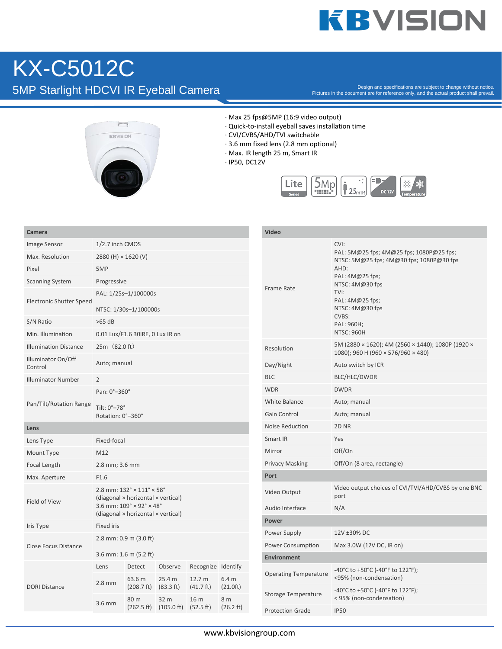# **KBVISION**

## KX-C5012C 5MP Starlight HDCVI IR Eyeball Camera

Pictures in the document are for reference only, and the actual product shall prevail.



- · Max 25 fps@5MP (16:9 video output)
- · Quick-to-install eyeball saves installation time
- · CVI/CVBS/AHD/TVI switchable
- · 3.6 mm fixed lens (2.8 mm optional)
- · Max. IR length 25 m, Smart IR
- · IP50, DC12V



| Camera                          |                                                                  |                                                                                            |                                                               |                              |                     | Video                        |                                                                                                                                                                                                                                      |  |
|---------------------------------|------------------------------------------------------------------|--------------------------------------------------------------------------------------------|---------------------------------------------------------------|------------------------------|---------------------|------------------------------|--------------------------------------------------------------------------------------------------------------------------------------------------------------------------------------------------------------------------------------|--|
| Image Sensor                    | 1/2.7 inch CMOS                                                  |                                                                                            |                                                               |                              |                     |                              | CVI:<br>PAL: 5M@25 fps; 4M@25 fps; 1080P@25 fps;<br>NTSC: 5M@25 fps; 4M@30 fps; 1080P@30 fps<br>AHD:<br>PAL: 4M@25 fps;<br>NTSC: 4M@30 fps<br>TVI:<br>PAL: 4M@25 fps;<br>NTSC: 4M@30 fps<br>CVBS:<br>PAL: 960H;<br><b>NTSC: 960H</b> |  |
| Max. Resolution                 | 2880 (H) × 1620 (V)                                              |                                                                                            |                                                               |                              |                     |                              |                                                                                                                                                                                                                                      |  |
| Pixel                           | 5MP                                                              |                                                                                            |                                                               |                              |                     |                              |                                                                                                                                                                                                                                      |  |
| <b>Scanning System</b>          | Progressive                                                      |                                                                                            |                                                               |                              |                     | Frame Rate                   |                                                                                                                                                                                                                                      |  |
| <b>Electronic Shutter Speed</b> | PAL: 1/25s-1/100000s<br>NTSC: 1/30s-1/100000s                    |                                                                                            |                                                               |                              |                     |                              |                                                                                                                                                                                                                                      |  |
| S/N Ratio                       | $>65$ dB                                                         |                                                                                            |                                                               |                              |                     |                              |                                                                                                                                                                                                                                      |  |
| Min. Illumination               | 0.01 Lux/F1.6 30IRE, 0 Lux IR on                                 |                                                                                            |                                                               |                              |                     |                              |                                                                                                                                                                                                                                      |  |
| <b>Illumination Distance</b>    | $25m$ $(82.0 ft)$                                                |                                                                                            |                                                               |                              |                     | Resolution                   | 5M (2880 × 1620); 4M (2560 × 1440); 1080P (1920 ×<br>1080); 960 H (960 $\times$ 576/960 $\times$ 480)                                                                                                                                |  |
| Illuminator On/Off<br>Control   | Auto; manual                                                     |                                                                                            |                                                               |                              |                     | Day/Night                    | Auto switch by ICR                                                                                                                                                                                                                   |  |
| <b>Illuminator Number</b>       | $\overline{2}$                                                   |                                                                                            |                                                               |                              |                     | <b>BLC</b>                   | BLC/HLC/DWDR                                                                                                                                                                                                                         |  |
| Pan/Tilt/Rotation Range         | Pan: 0°-360°                                                     |                                                                                            |                                                               |                              |                     | <b>WDR</b>                   | <b>DWDR</b>                                                                                                                                                                                                                          |  |
|                                 | Tilt: 0°-78°<br>Rotation: 0°-360°                                |                                                                                            |                                                               |                              |                     | <b>White Balance</b>         | Auto; manual                                                                                                                                                                                                                         |  |
|                                 |                                                                  |                                                                                            |                                                               |                              |                     | Gain Control                 | Auto; manual                                                                                                                                                                                                                         |  |
| Lens                            |                                                                  |                                                                                            |                                                               |                              |                     | <b>Noise Reduction</b>       | 2D <sub>NR</sub>                                                                                                                                                                                                                     |  |
| Lens Type                       | Fixed-focal                                                      |                                                                                            |                                                               |                              |                     | Smart IR                     | Yes                                                                                                                                                                                                                                  |  |
| Mount Type                      | M12                                                              |                                                                                            |                                                               |                              |                     | Mirror                       | Off/On                                                                                                                                                                                                                               |  |
| Focal Length                    | 2.8 mm; 3.6 mm                                                   |                                                                                            |                                                               |                              |                     | <b>Privacy Masking</b>       | Off/On (8 area, rectangle)                                                                                                                                                                                                           |  |
| Max. Aperture                   | F1.6                                                             |                                                                                            |                                                               |                              |                     | Port                         |                                                                                                                                                                                                                                      |  |
| Field of View                   |                                                                  | 2.8 mm: $132^\circ \times 111^\circ \times 58^\circ$<br>(diagonal × horizontal × vertical) |                                                               |                              |                     | Video Output                 | Video output choices of CVI/TVI/AHD/CVBS by one BNC<br>port                                                                                                                                                                          |  |
|                                 |                                                                  | 3.6 mm: $109^\circ \times 92^\circ \times 48^\circ$                                        |                                                               |                              |                     | Audio Interface              | N/A                                                                                                                                                                                                                                  |  |
| Iris Type                       | (diagonal × horizontal × vertical)<br>Power<br><b>Fixed iris</b> |                                                                                            |                                                               |                              |                     |                              |                                                                                                                                                                                                                                      |  |
|                                 |                                                                  | 2.8 mm: 0.9 m (3.0 ft)                                                                     |                                                               |                              |                     | Power Supply                 | 12V ±30% DC                                                                                                                                                                                                                          |  |
| <b>Close Focus Distance</b>     |                                                                  |                                                                                            |                                                               |                              |                     | Power Consumption            | Max 3.0W (12V DC, IR on)                                                                                                                                                                                                             |  |
|                                 | 3.6 mm: 1.6 m (5.2 ft)                                           |                                                                                            |                                                               |                              |                     | <b>Environment</b>           |                                                                                                                                                                                                                                      |  |
| <b>DORI Distance</b>            | Lens                                                             | Detect<br>63.6 m                                                                           | Observe<br>25.4 m                                             | Recognize Identify<br>12.7 m | 6.4 <sub>m</sub>    | <b>Operating Temperature</b> | -40°C to +50°C (-40°F to 122°F);<br><95% (non-condensation)                                                                                                                                                                          |  |
|                                 | $2.8$ mm                                                         | (208.7 ft)<br>80 m                                                                         | $(83.3 \text{ ft})$<br>32 <sub>m</sub>                        | $(41.7 \text{ ft})$<br>16 m  | (21.0ft)<br>8 m     | <b>Storage Temperature</b>   | -40°C to +50°C (-40°F to 122°F);<br>< 95% (non-condensation)                                                                                                                                                                         |  |
|                                 | 3.6 mm                                                           |                                                                                            | $(262.5 \text{ ft})$ $(105.0 \text{ ft})$ $(52.5 \text{ ft})$ |                              | $(26.2 \text{ ft})$ | <b>Protection Grade</b>      | <b>IP50</b>                                                                                                                                                                                                                          |  |